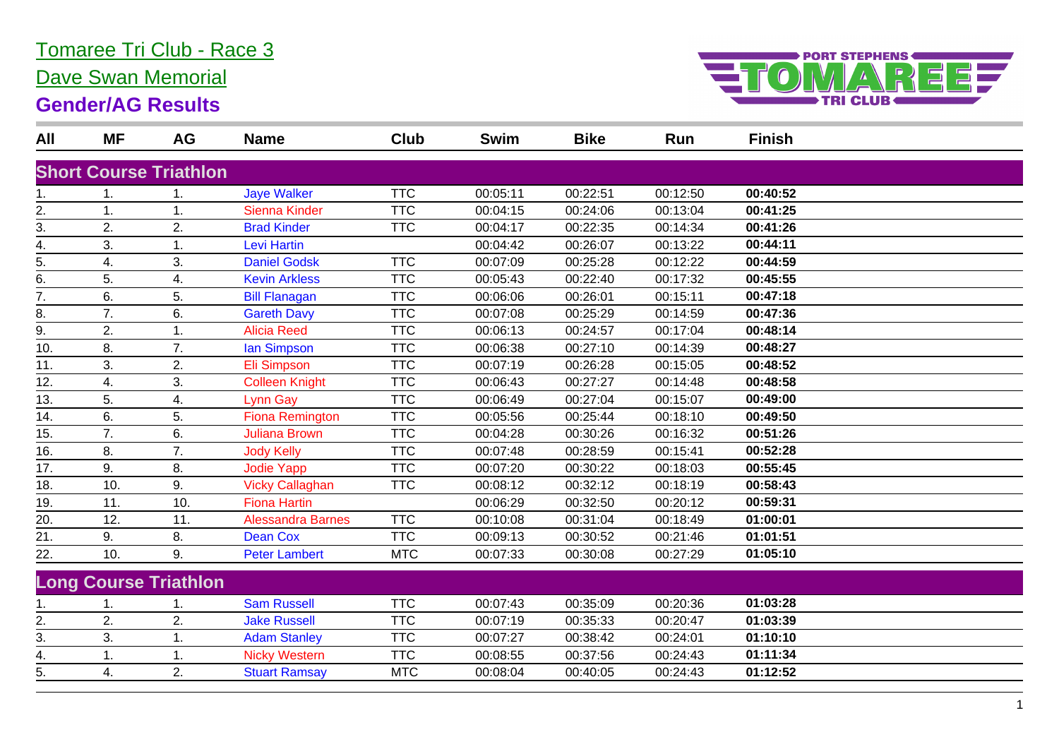## Tomaree Tri Club - Race 3

Dave Swan Memorial

#### **Gender/AG Results**



| All | <b>MF</b>     | <b>AG</b>                     | <b>Name</b>              | Club       | <b>Swim</b> | <b>Bike</b> | Run      | <b>Finish</b> |  |
|-----|---------------|-------------------------------|--------------------------|------------|-------------|-------------|----------|---------------|--|
|     |               | <b>Short Course Triathlon</b> |                          |            |             |             |          |               |  |
| 1.  |               | 1.                            | <b>Jaye Walker</b>       | <b>TTC</b> | 00:05:11    | 00:22:51    | 00:12:50 | 00:40:52      |  |
| 2.  | 1.            | 1.                            | <b>Sienna Kinder</b>     | <b>TTC</b> | 00:04:15    | 00:24:06    | 00:13:04 | 00:41:25      |  |
| 3.  | 2.            | 2.                            | <b>Brad Kinder</b>       | <b>TTC</b> | 00:04:17    | 00:22:35    | 00:14:34 | 00:41:26      |  |
| 4.  | 3.            | 1.                            | <b>Levi Hartin</b>       |            | 00:04:42    | 00:26:07    | 00:13:22 | 00:44:11      |  |
| 5.  | 4.            | 3.                            | <b>Daniel Godsk</b>      | <b>TTC</b> | 00:07:09    | 00:25:28    | 00:12:22 | 00:44:59      |  |
| 6.  | 5.            | 4.                            | <b>Kevin Arkless</b>     | <b>TTC</b> | 00:05:43    | 00:22:40    | 00:17:32 | 00:45:55      |  |
| 7.  | 6.            | 5.                            | <b>Bill Flanagan</b>     | <b>TTC</b> | 00:06:06    | 00:26:01    | 00:15:11 | 00:47:18      |  |
| 8.  | 7.            | 6.                            | <b>Gareth Davy</b>       | <b>TTC</b> | 00:07:08    | 00:25:29    | 00:14:59 | 00:47:36      |  |
| 9.  | 2.            | 1.                            | <b>Alicia Reed</b>       | <b>TTC</b> | 00:06:13    | 00:24:57    | 00:17:04 | 00:48:14      |  |
| 10. | 8.            | 7.                            | lan Simpson              | <b>TTC</b> | 00:06:38    | 00:27:10    | 00:14:39 | 00:48:27      |  |
| 11. | 3.            | 2.                            | Eli Simpson              | <b>TTC</b> | 00:07:19    | 00:26:28    | 00:15:05 | 00:48:52      |  |
| 12. | 4.            | 3.                            | <b>Colleen Knight</b>    | <b>TTC</b> | 00:06:43    | 00:27:27    | 00:14:48 | 00:48:58      |  |
| 13. | 5.            | 4.                            | Lynn Gay                 | <b>TTC</b> | 00:06:49    | 00:27:04    | 00:15:07 | 00:49:00      |  |
| 14. | 6.            | 5.                            | <b>Fiona Remington</b>   | <b>TTC</b> | 00:05:56    | 00:25:44    | 00:18:10 | 00:49:50      |  |
| 15. | 7.            | 6.                            | <b>Juliana Brown</b>     | <b>TTC</b> | 00:04:28    | 00:30:26    | 00:16:32 | 00:51:26      |  |
| 16. | 8.            | 7.                            | <b>Jody Kelly</b>        | <b>TTC</b> | 00:07:48    | 00:28:59    | 00:15:41 | 00:52:28      |  |
| 17. | 9.            | 8.                            | <b>Jodie Yapp</b>        | <b>TTC</b> | 00:07:20    | 00:30:22    | 00:18:03 | 00:55:45      |  |
| 18. | 10.           | 9.                            | <b>Vicky Callaghan</b>   | <b>TTC</b> | 00:08:12    | 00:32:12    | 00:18:19 | 00:58:43      |  |
| 19. | 11.           | 10.                           | <b>Fiona Hartin</b>      |            | 00:06:29    | 00:32:50    | 00:20:12 | 00:59:31      |  |
| 20. | 12.           | 11.                           | <b>Alessandra Barnes</b> | <b>TTC</b> | 00:10:08    | 00:31:04    | 00:18:49 | 01:00:01      |  |
| 21. | 9.            | 8.                            | <b>Dean Cox</b>          | <b>TTC</b> | 00:09:13    | 00:30:52    | 00:21:46 | 01:01:51      |  |
| 22. | 10.           | 9.                            | <b>Peter Lambert</b>     | <b>MTC</b> | 00:07:33    | 00:30:08    | 00:27:29 | 01:05:10      |  |
|     |               | <b>Long Course Triathlon</b>  |                          |            |             |             |          |               |  |
| 1.  | $\mathbf 1$ . | 1.                            | <b>Sam Russell</b>       | <b>TTC</b> | 00:07:43    | 00:35:09    | 00:20:36 | 01:03:28      |  |
| 2.  | 2.            | 2.                            | <b>Jake Russell</b>      | <b>TTC</b> | 00:07:19    | 00:35:33    | 00:20:47 | 01:03:39      |  |
| 3.  | 3.            | 1.                            | <b>Adam Stanley</b>      | <b>TTC</b> | 00:07:27    | 00:38:42    | 00:24:01 | 01:10:10      |  |
| 4.  |               | 1.                            | <b>Nicky Western</b>     | <b>TTC</b> | 00:08:55    | 00:37:56    | 00:24:43 | 01:11:34      |  |
| 5.  | 4.            | 2.                            | <b>Stuart Ramsay</b>     | <b>MTC</b> | 00:08:04    | 00:40:05    | 00:24:43 | 01:12:52      |  |